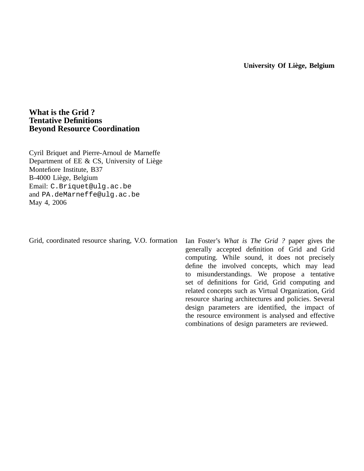# **What is the Grid ? Tentative Definitions Beyond Resource Coordination**

Cyril Briquet and Pierre-Arnoul de Marneffe Department of EE  $& CS$ , University of Liège Montefiore Institute, B37 B-4000 Liege, Belgium ` Email: C.Briquet@ulg.ac.be and PA.deMarneffe@ulg.ac.be May 4, 2006

Grid, coordinated resource sharing, V.O. formation

Ian Foster's *What is The Grid ?* paper gives the generally accepted definition of Grid and Grid computing. While sound, it does not precisely define the involved concepts, which may lead to misunderstandings. We propose a tentative set of definitions for Grid, Grid computing and related concepts such as Virtual Organization, Grid resource sharing architectures and policies. Several design parameters are identified, the impact of the resource environment is analysed and effective combinations of design parameters are reviewed.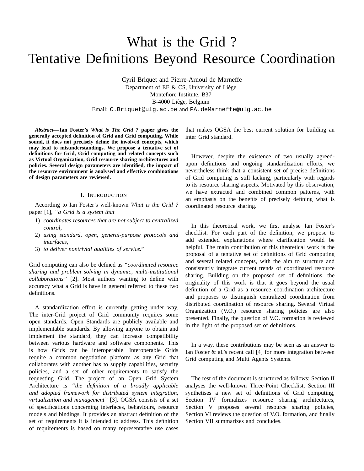# What is the Grid ? Tentative Definitions Beyond Resource Coordination

Cyril Briquet and Pierre-Arnoul de Marneffe Department of  $EE \& CS$ , University of Liège Montefiore Institute, B37 B-4000 Liege, Belgium ` Email: C.Briquet@ulg.ac.be and PA.deMarneffe@ulg.ac.be

*Abstract***— Ian Foster's** *What is The Grid ?* **paper gives the generally accepted definition of Grid and Grid computing. While sound, it does not precisely define the involved concepts, which may lead to misunderstandings. We propose a tentative set of definitions for Grid, Grid computing and related concepts such as Virtual Organization, Grid resource sharing architectures and policies. Several design parameters are identified, the impact of the resource environment is analysed and effective combinations of design parameters are reviewed.**

### I. INTRODUCTION

According to Ian Foster's well-known *What is the Grid ?* paper [1], *"a Grid is a system that*

- 1) *coordinates resources that are not subject to centralized control,*
- 2) *using standard, open, general-purpose protocols and interfaces,*
- 3) *to deliver nontrivial qualities of service."*

Grid computing can also be defined as *"coordinated resource sharing and problem solving in dynamic, multi-institutional collaborations"* [2]. Most authors wanting to define with accuracy what a Grid is have in general referred to these two definitions.

A standardization effort is currently getting under way. The inter-Grid project of Grid community requires some open standards. Open Standards are publicly available and implementable standards. By allowing anyone to obtain and implement the standard, they can increase compatibility between various hardware and software components. This is how Grids can be interoperable. Interoperable Grids require a common negotiation platform as any Grid that collaborates with another has to supply capabilities, security policies, and a set of other requirements to satisfy the requesting Grid. The project of an Open Grid System Architecture is *"the definition of a broadly applicable and adopted framework for distributed system integration, virtualization and management"* [3]. OGSA consists of a set of specifications concerning interfaces, behaviours, resource models and bindings. It provides an abstract definition of the set of requirements it is intended to address. This definition of requirements is based on many representative use cases that makes OGSA the best current solution for building an inter Grid standard.

However, despite the existence of two usually agreedupon definitions and ongoing standardization efforts, we nevertheless think that a consistent set of precise definitions of Grid computing is still lacking, particularly with regards to its resource sharing aspects. Motivated by this observation, we have extracted and combined common patterns, with an emphasis on the benefits of precisely defining what is coordinated resource sharing.

In this theoretical work, we first analyse Ian Foster's checklist. For each part of the definition, we propose to add extended explanations where clarification would be helpful. The main contribution of this theoretical work is the proposal of a tentative set of definitions of Grid computing and several related concepts, with the aim to structure and consistently integrate current trends of coordinated resource sharing. Building on the proposed set of definitions, the originality of this work is that it goes beyond the usual definition of a Grid as a resource coordination architecture and proposes to distinguish centralized coordination from distributed coordination of resource sharing. Several Virtual Organization (V.O.) resource sharing policies are also presented. Finally, the question of V.O. formation is reviewed in the light of the proposed set of definitions.

In a way, these contributions may be seen as an answer to Ian Foster & al.'s recent call [4] for more integration between Grid computing and Multi Agents Systems.

The rest of the document is structured as follows: Section II analyses the well-known Three-Point Checklist, Section III synthetises a new set of definitions of Grid computing, Section IV formalizes resource sharing architectures, Section V proposes several resource sharing policies, Section VI reviews the question of V.O. formation, and finally Section VII summarizes and concludes.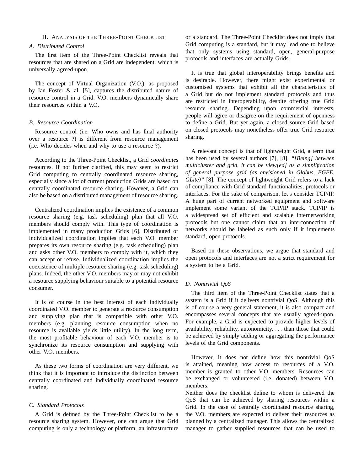### II. ANALYSIS OF THE THREE-POINT CHECKLIST

# *A. Distributed Control*

The first item of the Three-Point Checklist reveals that resources that are shared on a Grid are independent, which is universally agreed-upon.

The concept of Virtual Organization (V.O.), as proposed by Ian Foster & al. [5], captures the distributed nature of resource control in a Grid. V.O. members dynamically share their resources within a V.O.

#### *B. Resource Coordination*

Resource control (i.e. Who owns and has final authority over a resource ?) is different from resource management (i.e. Who decides when and why to use a resource ?).

According to the Three-Point Checklist, a Grid *coordinates* resources. If not further clarified, this may seem to restrict Grid computing to centrally coordinated resource sharing, especially since a lot of current production Grids are based on centrally coordinated resource sharing. However, a Grid can also be based on a distributed management of resource sharing.

Centralized coordination implies the existence of a common resource sharing (e.g. task scheduling) plan that all V.O. members should comply with. This type of coordination is implemented in many production Grids [6]. Distributed or individualized coordination implies that each V.O. member prepares its own resource sharing (e.g. task scheduling) plan and asks other V.O. members to comply with it, which they can accept or refuse. Individualized coordination implies the coexistence of multiple resource sharing (e.g. task scheduling) plans. Indeed, the other V.O. members may or may not exhibit a resource supplying behaviour suitable to a potential resource consumer.

It is of course in the best interest of each individually coordinated V.O. member to generate a resource consumption and supplying plan that is compatible with other V.O. members (e.g. planning resource consumption when no resource is available yields little utility). In the long term, the most profitable behaviour of each V.O. member is to synchronize its resource consumption and supplying with other V.O. members.

As these two forms of coordination are very different, we think that it is important to introduce the distinction between centrally coordinated and individually coordinated resource sharing.

# *C. Standard Protocols*

A Grid is defined by the Three-Point Checklist to be a resource sharing system. However, one can argue that Grid computing is only a technology or platform, an infrastructure or a standard. The Three-Point Checklist does not imply that Grid computing is a standard, but it may lead one to believe that only systems using standard, open, general-purpose protocols and interfaces are actually Grids.

It is true that global interoperability brings benefits and is desirable. However, there might exist experimental or customised systems that exhibit all the characteristics of a Grid but do not implement standard protocols and thus are restricted in interoperability, despite offering true Grid resource sharing. Depending upon commercial interests, people will agree or disagree on the requirement of openness to define a Grid. But yet again, a closed source Grid based on closed protocols may nonetheless offer true Grid resource sharing.

A relevant concept is that of lightweight Grid, a term that has been used by several authors [7], [8]. *"[Being] between multicluster and grid, it can be view[ed] as a simplification of general purpose grid (as envisioned in Globus, EGEE, GLite)"* [8]. The concept of lightweight Grid refers to a lack of compliance with Grid standard functionalities, protocols or interfaces. For the sake of comparison, let's consider TCP/IP. A huge part of current networked equipment and software implement some variant of the TCP/IP stack. TCP/IP is a widespread set of efficient and scalable internetworking protocols but one cannot claim that an interconnection of networks should be labeled as such only if it implements standard, open protocols.

Based on these observations, we argue that standard and open protocols and interfaces are not a strict requirement for a system to be a Grid.

# *D. Nontrivial QoS*

The third item of the Three-Point Checklist states that a system is a Grid if it delivers nontrivial QoS. Although this is of course a very general statement, it is also compact and encompasses several concepts that are usually agreed-upon. For example, a Grid is expected to provide higher levels of availability, reliability, autonomicity, . . . than those that could be achieved by simply adding or aggregating the performance levels of the Grid components.

However, it does not define how this nontrivial QoS is attained, meaning how access to resources of a V.O. member is granted to other V.O. members. Resources can be exchanged or volunteered (i.e. donated) between V.O. members.

Neither does the checklist define to whom is delivered the QoS that can be achieved by sharing resources within a Grid. In the case of centrally coordinated resource sharing, the V.O. members are expected to deliver their resources as planned by a centralized manager. This allows the centralized manager to gather supplied resources that can be used to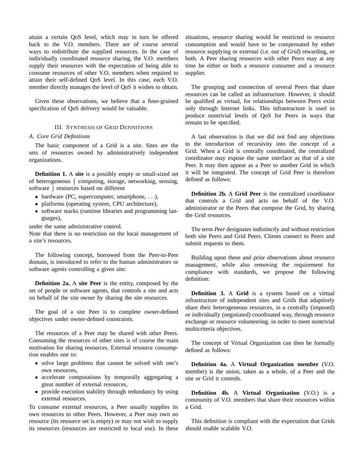attain a certain QoS level, which may in turn be offered back to the V.O. members. There are of course several ways to redistribute the supplied resources. In the case of individually coordinated resource sharing, the V.O. members supply their resources with the expectation of being able to consume resources of other V.O. members when required to attain their self-defined QoS level. In this case, each V.O. member directly manages the level of QoS it wishes to obtain.

Given these observations, we believe that a finer-grained specification of QoS delivery would be valuable.

#### III. SYNTHESIS OF GRID DEFINITIONS

# *A. Core Grid Definitions*

The basic component of a Grid is a site. Sites are the sets of resources owned by administratively independent organizations.

**Definition 1.** A **site** is a possibly empty or small-sized set of heterogeneous { computing, storage, networking, sensing, software } resources based on different

- hardware (PC, supercomputer, smartphone, ...),
- platforms (operating system, CPU architecture),
- software stacks (runtime libraries and programming languages),

under the same administrative control.

Note that there is no restriction on the local management of a site's resources.

The following concept, borrowed from the Peer-to-Peer domain, is introduced to refer to the human administrators or software agents controlling a given site:

**Definition 2a.** A **site Peer** is the entity, composed by the set of people or software agents, that controls a site and acts on behalf of the site owner by sharing the site resources.

The goal of a site Peer is to complete owner-defined objectives under owner-defined constraints.

The resources of a Peer may be shared with other Peers. Consuming the resources of other sites is of course the main motivation for sharing resources. External resource consumption enables one to:

- solve large problems that cannot be solved with one's own resources,
- accelerate computations by temporally aggregating a great number of external resources,
- provide execution stability through redundancy by using external resources.

To consume external resources, a Peer usually supplies its own resources to other Peers. However, a Peer may own no resource (its resource set is empty) or may not wish to supply its resources (resources are restricted to local use). In these

situations, resource sharing would be restricted to resource consumption and would have to be compensated by either resource supplying or external (i.e. *out of Grid*) rewarding, or both. A Peer sharing resources with other Peers may at any time be either or both a resource consumer and a resource supplier.

The grouping and connection of several Peers that share resources can be called an infrastructure. However, it should be qualified as virtual, for relationships between Peers exist only through Internet links. This infrastructure is used to produce nontrivial levels of QoS for Peers in ways that remain to be specified.

A last observation is that we did not find any objections to the introduction of recursivity into the concept of a Grid. When a Grid is centrally coordinated, the centralized coordinator may expose the same interface as that of a site Peer. It may then appear as a Peer to another Grid in which it will be integrated. The concept of Grid Peer is therefore defined as follows:

**Definition 2b.** A **Grid Peer** is the centralized coordinator that controls a Grid and acts on behalf of the V.O. administrator or the Peers that compose the Grid, by sharing the Grid resources.

The term *Peer* designates indistinctly and without restriction both site Peers and Grid Peers. Clients connect to Peers and submit requests to them.

Building upon these and prior observations about resource management, while also removing the requirement for compliance with standards, we propose the following definition:

**Definition 3.** A **Grid** is a system based on a virtual infrastructure of independent sites and Grids that adaptively share their heterogeneous resources, in a centrally (imposed) or individually (negotiated) coordinated way, through resource exchange or resource volunteering, in order to meet nontrivial multicriteria objectives.

The concept of Virtual Organization can then be formally defined as follows:

**Definition 4a.** A **Virtual Organization member** (V.O. member) is the union, taken as a whole, of a Peer and the site or Grid it controls.

**Definition 4b.** A **Virtual Organization** (V.O.) is a community of V.O. members that share their resources within a Grid.

This definition is compliant with the expectation that Grids should enable scalable V.O.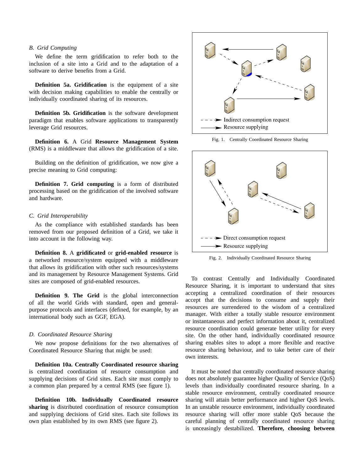# *B. Grid Computing*

We define the term gridification to refer both to the inclusion of a site into a Grid and to the adaptation of a software to derive benefits from a Grid.

**Definition 5a. Gridification** is the equipment of a site with decision making capabilities to enable the centrally or individually coordinated sharing of its resources.

**Definition 5b. Gridification** is the software development paradigm that enables software applications to transparently leverage Grid resources.

**Definition 6.** A Grid **Resource Management System** (RMS) is a middleware that allows the gridification of a site.

Building on the definition of gridification, we now give a precise meaning to Grid computing:

**Definition 7. Grid computing** is a form of distributed processing based on the gridification of the involved software and hardware.

### *C. Grid Interoperability*

As the compliance with established standards has been removed from our proposed definition of a Grid, we take it into account in the following way.

**Definition 8.** A **gridificated** or **grid-enabled resource** is a networked resource/system equipped with a middleware that allows its gridification with other such resources/systems and its management by Resource Management Systems. Grid sites are composed of grid-enabled resources.

**Definition 9. The Grid** is the global interconnection of all the world Grids with standard, open and generalpurpose protocols and interfaces (defined, for example, by an international body such as GGF, EGA).

# *D. Coordinated Resource Sharing*

We now propose definitions for the two alternatives of Coordinated Resource Sharing that might be used:

**Definition 10a. Centrally Coordinated resource sharing** is centralized coordination of resource consumption and supplying decisions of Grid sites. Each site must comply to a common plan prepared by a central RMS (see figure 1).

**Definition 10b. Individually Coordinated resource sharing** is distributed coordination of resource consumption and supplying decisions of Grid sites. Each site follows its



Fig. 1. Centrally Coordinated Resource Sharing



Fig. 2. Individually Coordinated Resource Sharing

To contrast Centrally and Individually Coordinated Resource Sharing, it is important to understand that sites accepting a centralized coordination of their resources accept that the decisions to consume and supply their resources are surrendered to the wisdom of a centralized manager. With either a totally stable resource environment or instantaneous and perfect information about it, centralized resource coordination could generate better utility for every site. On the other hand, individually coordinated resource sharing enables sites to adopt a more flexible and reactive resource sharing behaviour, and to take better care of their own interests.

It must be noted that centrally coordinated resource sharing does not absolutely guarantee higher Quality of Service (QoS) levels than individually coordinated resource sharing. In a stable resource environment, centrally coordinated resource sharing will attain better performance and higher QoS levels. In an unstable resource environment, individually coordinated resource sharing will offer more stable QoS because the careful planning of centrally coordinated resource sharing is unceasingly destabilized. **Therefore, choosing between**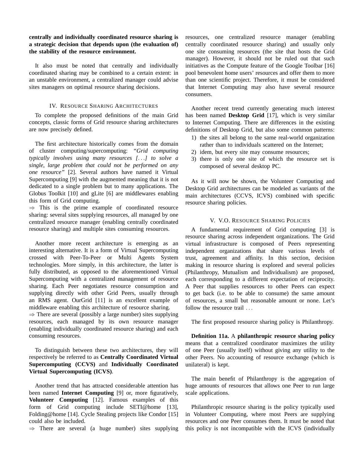# **centrally and individually coordinated resource sharing is a strategic decision that depends upon (the evaluation of) the stability of the resource environment.**

It also must be noted that centrally and individually coordinated sharing may be combined to a certain extent: in an unstable environment, a centralized manager could advise sites managers on optimal resource sharing decisions.

# IV. RESOURCE SHARING ARCHITECTURES

To complete the proposed definitions of the main Grid concepts, classic forms of Grid resource sharing architectures are now precisely defined.

The first architecture historically comes from the domain of cluster computing/supercomputing: *"Grid computing typically involves using many resources [*. . .*] to solve a single, large problem that could not be performed on any one resource"* [2]. Several authors have named it Virtual Supercomputing [9] with the augmented meaning that it is not dedicated to a single problem but to many applications. The Globus Toolkit [10] and gLite [6] are middlewares enabling this form of Grid computing.

 $\Rightarrow$  This is the prime example of coordinated resource sharing: several sites supplying resources, all managed by one centralized resource manager (enabling centrally coordinated resource sharing) and multiple sites consuming resources.

Another more recent architecture is emerging as an interesting alternative. It is a form of Virtual Supercomputing crossed with Peer-To-Peer or Multi Agents System technologies. More simply, in this architecture, the latter is fully distributed, as opposed to the aforementioned Virtual Supercomputing with a centralized management of resource sharing. Each Peer negotiates resource consumption and supplying directly with other Grid Peers, usually through an RMS agent. OurGrid [11] is an excellent example of middleware enabling this architecture of resource sharing.

 $\Rightarrow$  There are several (possibly a large number) sites supplying resources, each managed by its own resource manager (enabling individually coordinated resource sharing) and each consuming resources.

To distinguish between these two architectures, they will respectively be referred to as **Centrally Coordinated Virtual Supercomputing (CCVS)** and **Individually Coordinated Virtual Supercomputing (ICVS)**.

Another trend that has attracted considerable attention has been named **Internet Computing** [9] or, more figuratively, **Volunteer Computing** [12]. Famous examples of this form of Grid computing include SETI@home [13], Folding@home [14]. Cycle Stealing projects like Condor [15] could also be included.

 $\Rightarrow$  There are several (a huge number) sites supplying

resources, one centralized resource manager (enabling centrally coordinated resource sharing) and usually only one site consuming resources (the site that hosts the Grid manager). However, it should not be ruled out that such initiatives as the Compute feature of the Google Toolbar [16] pool benevolent home users' resources and offer them to more than one scientific project. Therefore, it must be considered that Internet Computing may also have several resource consumers.

Another recent trend currently generating much interest has been named **Desktop Grid** [17], which is very similar to Internet Computing. There are differences in the existing definitions of Desktop Grid, but also some common patterns:

- 1) the sites all belong to the same real-world organization rather than to individuals scattered on the Internet;
- 2) idem, but every site may consume resources;
- 3) there is only one site of which the resource set is composed of several desktop PC.

As it will now be shown, the Volunteer Computing and Desktop Grid architectures can be modeled as variants of the main architectures (CCVS, ICVS) combined with specific resource sharing policies.

# V. V.O. RESOURCE SHARING POLICIES

A fundamental requirement of Grid computing [3] is resource sharing across independent organizations. The Grid virtual infrastructure is composed of Peers representing independent organizations that share various levels of trust, agreement and affinity. In this section, decision making in resource sharing is explored and several policies (Philanthropy, Mutualism and Individualism) are proposed, each corresponding to a different expectation of reciprocity. A Peer that supplies resources to other Peers can expect to get back (i.e. to be able to consume) the same amount of resources, a small but reasonable amount or none. Let's follow the resource trail ...

The first proposed resource sharing policy is Philanthropy.

**Definition 11a.** A **philanthropic resource sharing policy** means that a centralized coordinator maximizes the utility of one Peer (usually itself) without giving any utility to the other Peers. No accounting of resource exchange (which is unilateral) is kept.

The main benefit of Philanthropy is the aggregation of huge amounts of resources that allows one Peer to run large scale applications.

Philanthropic resource sharing is the policy typically used in Volunteer Computing, where most Peers are supplying resources and one Peer consumes them. It must be noted that this policy is not incompatible with the ICVS (individually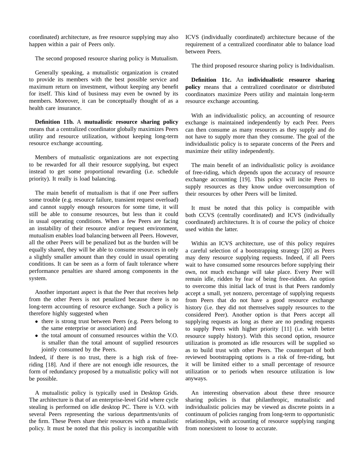coordinated) architecture, as free resource supplying may also happen within a pair of Peers only.

The second proposed resource sharing policy is Mutualism.

Generally speaking, a mutualistic organization is created to provide its members with the best possible service and maximum return on investment, without keeping any benefit for itself. This kind of business may even be owned by its members. Moreover, it can be conceptually thought of as a health care insurance.

**Definition 11b.** A **mutualistic resource sharing policy** means that a centralized coordinator globally maximizes Peers utility and resource utilization, without keeping long-term resource exchange accounting.

Members of mutualistic organizations are not expecting to be rewarded for all their resource supplying, but expect instead to get some proportional rewarding (i.e. schedule priority). It really is load balancing.

The main benefit of mutualism is that if one Peer suffers some trouble (e.g. resource failure, transient request overload) and cannot supply enough resources for some time, it will still be able to consume resources, but less than it could in usual operating conditions. When a few Peers are facing an instability of their resource and/or request environment, mutualism enables load balancing between all Peers. However, all the other Peers will be penalized but as the burden will be equally shared, they will be able to consume resources in only a slightly smaller amount than they could in usual operating conditions. It can be seen as a form of fault tolerance where performance penalties are shared among components in the system.

Another important aspect is that the Peer that receives help from the other Peers is not penalized because there is no long-term accounting of resource exchange. Such a policy is therefore highly suggested when

- there is strong trust between Peers (e.g. Peers belong to the same enterprise or association) and
- the total amount of consumed resources within the V.O. is smaller than the total amount of supplied resources jointly consumed by the Peers.

Indeed, if there is no trust, there is a high risk of freeriding [18]. And if there are not enough idle resources, the form of redundancy proposed by a mutualistic policy will not be possible.

A mutualistic policy is typically used in Desktop Grids. The architecture is that of an enterprise-level Grid where cycle stealing is performed on idle desktop PC. There is V.O. with several Peers representing the various departments/units of the firm. These Peers share their resources with a mutualistic policy. It must be noted that this policy is incompatible with

ICVS (individually coordinated) architecture because of the requirement of a centralized coordinator able to balance load between Peers.

The third proposed resource sharing policy is Individualism.

**Definition 11c.** An **individualistic resource sharing policy** means that a centralized coordinator or distributed coordinators maximize Peers utility and maintain long-term resource exchange accounting.

With an individualistic policy, an accounting of resource exchange is maintained independently by each Peer. Peers can then consume as many resources as they supply and do not have to supply more than they consume. The goal of the individualistic policy is to separate concerns of the Peers and maximize their utility independently.

The main benefit of an individualistic policy is avoidance of free-riding, which depends upon the accuracy of resource exchange accounting [19]. This policy will incite Peers to supply resources as they know undue overconsumption of their resources by other Peers will be limited.

It must be noted that this policy is compatible with both CCVS (centrally coordinated) and ICVS (individually coordinated) architectures. It is of course the policy of choice used within the latter.

Within an ICVS architecture, use of this policy requires a careful selection of a bootstrapping strategy [20] as Peers may deny resource supplying requests. Indeed, if all Peers wait to have consumed some resources before supplying their own, not much exchange will take place. Every Peer will remain idle, ridden by fear of being free-ridden. An option to overcome this initial lack of trust is that Peers randomly accept a small, yet nonzero, percentage of supplying requests from Peers that do not have a good resource exchange history (i.e. they did not themselves supply resources to the considered Peer). Another option is that Peers accept all supplying requests as long as there are no pending requests to supply Peers with higher priority [11] (i.e. with better resource supply history). With this second option, resource utilization is promoted as idle resources will be supplied so as to build trust with other Peers. The counterpart of both reviewed bootstrapping options is a risk of free-riding, but it will be limited either to a small percentage of resource utilization or to periods when resource utilization is low anyways.

An interesting observation about these three resource sharing policies is that philanthropic, mutualistic and individualistic policies may be viewed as discrete points in a continuum of policies ranging from long-term to opportunistic relationships, with accounting of resource supplying ranging from nonexistent to loose to accurate.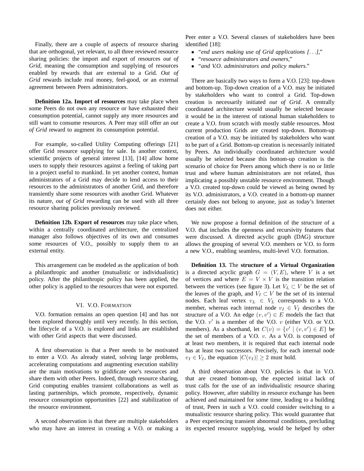Finally, there are a couple of aspects of resource sharing that are orthogonal, yet relevant, to all three reviewed resource sharing policies: the import and export of resources *out of Grid*, meaning the consumption and supplying of resources enabled by rewards that are external to a Grid. *Out of Grid* rewards include real money, feel-good, or an external agreement between Peers administrators.

**Definition 12a. Import of resources** may take place when some Peers do not own any resource or have exhausted their consumption potential, cannot supply any more resources and still want to consume resources. A Peer may still offer an *out of Grid* reward to augment its consumption potential.

For example, so-called Utility Computing offerings [21] offer Grid resource supplying for sale. In another context, scientific projects of general interest [13], [14] allow home users to supply their resources against a feeling of taking part in a project useful to mankind. In yet another context, human administrators of a Grid may decide to lend access to their resources to the administrators of another Grid, and therefore transiently share some resources with another Grid. Whatever its nature, *out of Grid* rewarding can be used with all three resource sharing policies previously reviewed.

**Definition 12b. Export of resources** may take place when, within a centrally coordinated architecture, the centralized manager also follows objectives of its own and consumes some resources of V.O., possibly to supply them to an external entity.

This arrangement can be modeled as the application of both a philanthropic and another (mutualistic or individualistic) policy. After the philanthropic policy has been applied, the other policy is applied to the resources that were not exported.

#### VI. V.O. FORMATION

V.O. formation remains an open question [4] and has not been explored thoroughly until very recently. In this section, the lifecycle of a V.O. is explored and links are established with other Grid aspects that were discussed.

A first observation is that a Peer needs to be motivated to enter a V.O. As already stated, solving large problems, accelerating computations and augmenting execution stability are the main motivations to gridificate one's resources and share them with other Peers. Indeed, through resource sharing, Grid computing enables transient collaborations as well as lasting partnerships, which promote, respectively, dynamic resource consumption opportunities [22] and stabilization of the resource environment.

A second observation is that there are multiple stakeholders who may have an interest in creating a V.O. or making a

Peer enter a V.O. Several classes of stakeholders have been identified [18]:

- *"end users making use of Grid applications [*. . .*],"*
- *"resource administrators and owners,"*
- *"and V.O. administrators and policy makers."*

There are basically two ways to form a V.O. [23]: top-down and bottom-up. Top-down creation of a V.O. may be initiated by stakeholders who want to control a Grid. Top-down creation is necessarily initiated *out of Grid*. A centrally coordinated architecture would usually be selected because it would be in the interest of rational human stakeholders to create a V.O. from scratch with mostly stable resources. Most current production Grids are created top-down. Bottom-up creation of a V.O. may be initiated by stakeholders who want to be part of a Grid. Bottom-up creation is necessarily initiated by Peers. An individually coordinated architecture would usually be selected because this bottom-up creation is the scenario of choice for Peers among which there is no or little trust and where human administrators are not related, thus implicating a possibly unstable resource environment. Though a V.O. created top-down could be viewed as being owned by its V.O. administrators, a V.O. created in a bottom-up manner certainly does not belong to anyone, just as today's Internet does not either.

We now propose a formal definition of the structure of a V.O. that includes the openness and recursivity features that were discussed. A directed acyclic graph (DAG) structure allows the grouping of several V.O. members or V.O. to form a new V.O., enabling seamless, multi-level V.O. formation.

**Definition 13.** The **structure of a Virtual Organization** is a directed acyclic graph  $G = (V, E)$ , where V is a set of vertices and where  $E = V \times V$  is the transition relation between the vertices (see figure 3). Let  $V_L \subset V$  be the set of the leaves of the graph, and  $V_I \subset V$  be the set of its internal nodes. Each leaf vertex  $v_L \in V_L$  corresponds to a V.O. member, whereas each internal node  $v_I \in V_I$  describes the structure of a V.O. An edge  $(v, v') \in E$  models the fact that the V.O.  $v'$  is a member of the V.O.  $v$  (either V.O. or V.O. members). As a shorthand, let  $C(v) = \{v' \mid (v, v') \in E\}$  be the set of members of a V.O.  $v$ . As a V.O. is composed of at least two members, it is required that each internal node has at least two successors. Precisely, for each internal node  $v_I \in V_I$ , the equation  $|C(v_I)| \geq 2$  must hold.

A third observation about V.O. policies is that in V.O. that are created bottom-up, the expected initial lack of trust calls for the use of an individualistic resource sharing policy. However, after stability in resource exchange has been achieved and maintained for some time, leading to a building of trust, Peers in such a V.O. could consider switching to a mutualistic resource sharing policy. This would guarantee that a Peer experiencing transient abnormal conditions, precluding its expected resource supplying, would be helped by other